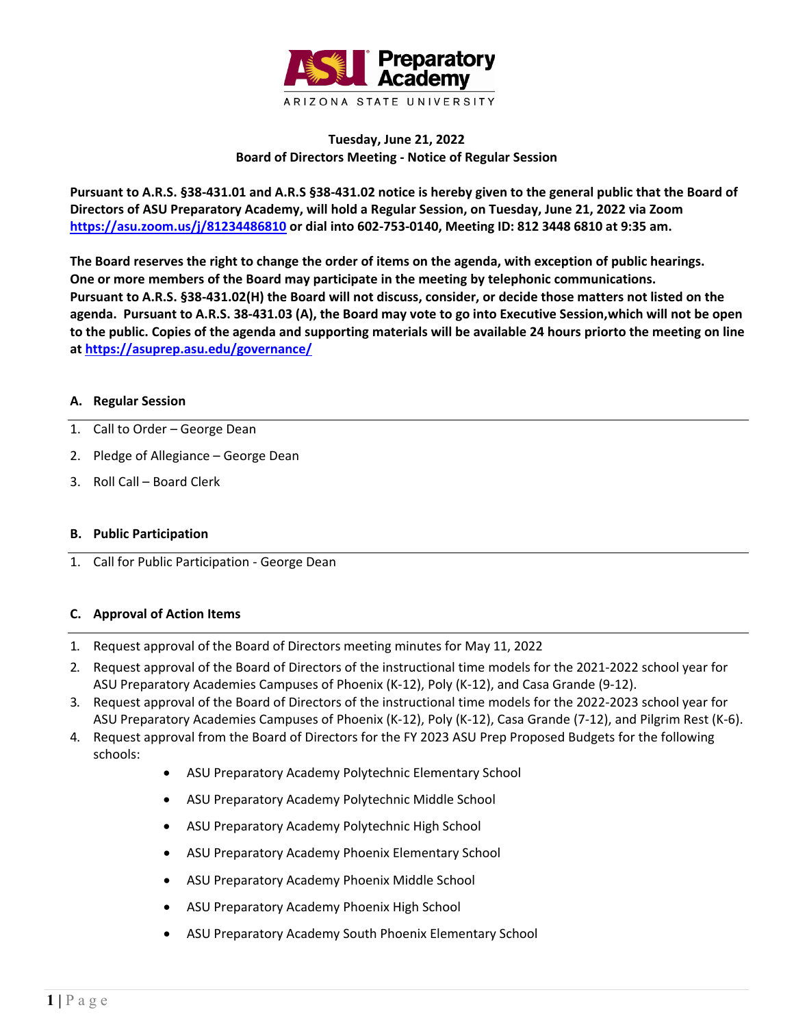

# **Tuesday, June 21, 2022 Board of Directors Meeting - Notice of Regular Session**

**Pursuant to A.R.S. §38-431.01 and A.R.S §38-431.02 notice is hereby given to the general public that the Board of Directors of ASU Preparatory Academy, will hold a Regular Session, on Tuesday, June 21, 2022 via Zoom <https://asu.zoom.us/j/81234486810> or dial into 602-753-0140, Meeting ID: 812 3448 6810 at 9:35 am.**

**The Board reserves the right to change the order of items on the agenda, with exception of public hearings. One or more members of the Board may participate in the meeting by telephonic communications. Pursuant to A.R.S. §38-431.02(H) the Board will not discuss, consider, or decide those matters not listed on the agenda. Pursuant to A.R.S. 38-431.03 (A), the Board may vote to go into Executive Session,which will not be open to the public. Copies of the agenda and supporting materials will be available 24 hours priorto the meeting on line a[t https://asuprep.asu.edu/governance/](https://asuprep.asu.edu/governance/)**

### **A. Regular Session**

- 1. Call to Order George Dean
- 2. Pledge of Allegiance George Dean
- 3. Roll Call Board Clerk

### **B. Public Participation**

1. Call for Public Participation - George Dean

### **C. Approval of Action Items**

- 1. Request approval of the Board of Directors meeting minutes for May 11, 2022
- 2. Request approval of the Board of Directors of the instructional time models for the 2021-2022 school year for ASU Preparatory Academies Campuses of Phoenix (K-12), Poly (K-12), and Casa Grande (9-12).
- 3. Request approval of the Board of Directors of the instructional time models for the 2022-2023 school year for ASU Preparatory Academies Campuses of Phoenix (K-12), Poly (K-12), Casa Grande (7-12), and Pilgrim Rest (K-6).
- 4. Request approval from the Board of Directors for the FY 2023 ASU Prep Proposed Budgets for the following schools:
	- ASU Preparatory Academy Polytechnic Elementary School
	- ASU Preparatory Academy Polytechnic Middle School
	- ASU Preparatory Academy Polytechnic High School
	- ASU Preparatory Academy Phoenix Elementary School
	- ASU Preparatory Academy Phoenix Middle School
	- ASU Preparatory Academy Phoenix High School
	- ASU Preparatory Academy South Phoenix Elementary School